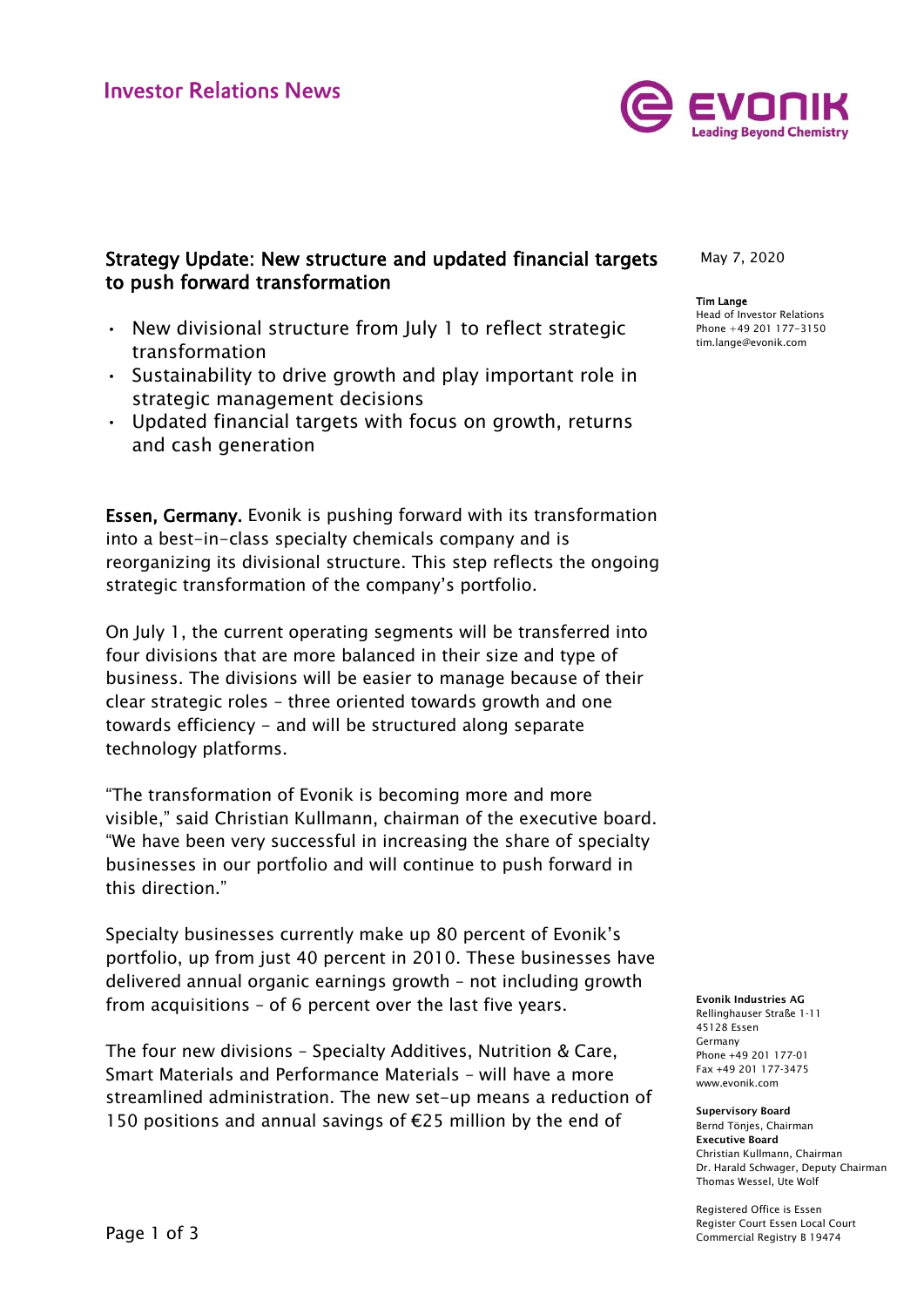

## Strategy Update: New structure and updated financial targets to push forward transformation

- New divisional structure from July 1 to reflect strategic transformation
- Sustainability to drive growth and play important role in strategic management decisions
- Updated financial targets with focus on growth, returns and cash generation

Essen, Germany. Evonik is pushing forward with its transformation into a best-in-class specialty chemicals company and is reorganizing its divisional structure. This step reflects the ongoing strategic transformation of the company's portfolio.

On July 1, the current operating segments will be transferred into four divisions that are more balanced in their size and type of business. The divisions will be easier to manage because of their clear strategic roles – three oriented towards growth and one towards efficiency - and will be structured along separate technology platforms.

"The transformation of Evonik is becoming more and more visible," said Christian Kullmann, chairman of the executive board. "We have been very successful in increasing the share of specialty businesses in our portfolio and will continue to push forward in this direction."

Specialty businesses currently make up 80 percent of Evonik's portfolio, up from just 40 percent in 2010. These businesses have delivered annual organic earnings growth – not including growth from acquisitions – of 6 percent over the last five years.

The four new divisions – Specialty Additives, Nutrition & Care, Smart Materials and Performance Materials – will have a more streamlined administration. The new set-up means a reduction of 150 positions and annual savings of €25 million by the end of

May 7, 2020

## Tim Lange

Head of Investor Relations Phone +49 201 177-3150 tim.lange@evonik.com

Evonik Industries AG Rellinghauser Straße 1-11 45128 Essen Germany Phone +49 201 177-01 Fax +49 201 177-3475 www.evonik.com

Supervisory Board Bernd Tönjes, Chairman Executive Board Christian Kullmann, Chairman Dr. Harald Schwager, Deputy Chairman Thomas Wessel, Ute Wolf

Registered Office is Essen Register Court Essen Local Court Commercial Registry B 19474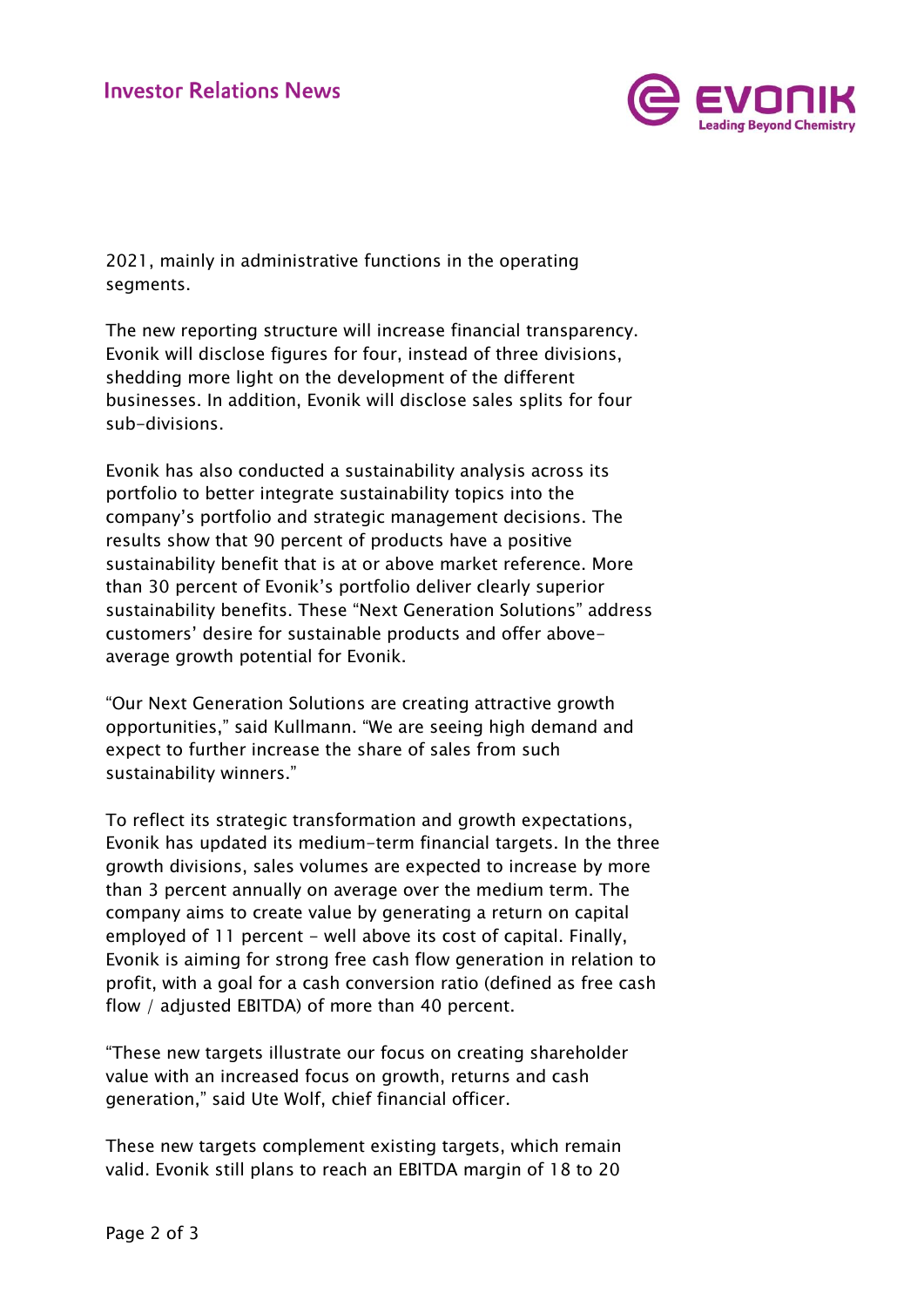

2021, mainly in administrative functions in the operating segments.

The new reporting structure will increase financial transparency. Evonik will disclose figures for four, instead of three divisions, shedding more light on the development of the different businesses. In addition, Evonik will disclose sales splits for four sub-divisions.

Evonik has also conducted a sustainability analysis across its portfolio to better integrate sustainability topics into the company's portfolio and strategic management decisions. The results show that 90 percent of products have a positive sustainability benefit that is at or above market reference. More than 30 percent of Evonik's portfolio deliver clearly superior sustainability benefits. These "Next Generation Solutions" address customers' desire for sustainable products and offer aboveaverage growth potential for Evonik.

"Our Next Generation Solutions are creating attractive growth opportunities," said Kullmann. "We are seeing high demand and expect to further increase the share of sales from such sustainability winners."

To reflect its strategic transformation and growth expectations, Evonik has updated its medium-term financial targets. In the three growth divisions, sales volumes are expected to increase by more than 3 percent annually on average over the medium term. The company aims to create value by generating a return on capital employed of 11 percent - well above its cost of capital. Finally, Evonik is aiming for strong free cash flow generation in relation to profit, with a goal for a cash conversion ratio (defined as free cash flow / adjusted EBITDA) of more than 40 percent.

"These new targets illustrate our focus on creating shareholder value with an increased focus on growth, returns and cash generation," said Ute Wolf, chief financial officer.

These new targets complement existing targets, which remain valid. Evonik still plans to reach an EBITDA margin of 18 to 20